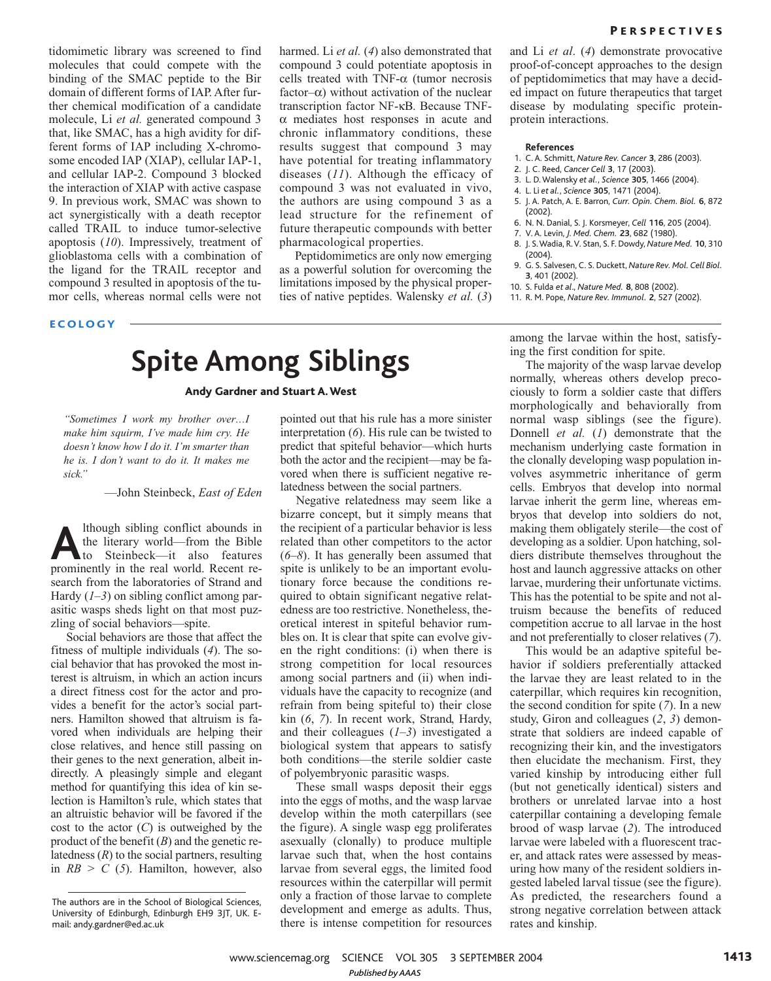tidomimetic library was screened to find molecules that could compete with the binding of the SMAC peptide to the Bir domain of different forms of IAP. After further chemical modification of a candidate molecule, Li *et al.* generated compound 3 that, like SMAC, has a high avidity for different forms of IAP including X-chromosome encoded IAP (XIAP), cellular IAP-1, and cellular IAP-2. Compound 3 blocked the interaction of XIAP with active caspase 9. In previous work, SMAC was shown to act synergistically with a death receptor called TRAIL to induce tumor-selective apoptosis (*10*). Impressively, treatment of glioblastoma cells with a combination of the ligand for the TRAIL receptor and compound 3 resulted in apoptosis of the tumor cells, whereas normal cells were not

**ECOLOGY** 

### harmed. Li *et al.* (*4*) also demonstrated that compound 3 could potentiate apoptosis in cells treated with TNF- $\alpha$  (tumor necrosis factor– $\alpha$ ) without activation of the nuclear transcription factor NF-κB. Because TNFα mediates host responses in acute and chronic inflammatory conditions, these results suggest that compound 3 may have potential for treating inflammatory diseases (*11*). Although the efficacy of compound 3 was not evaluated in vivo, the authors are using compound 3 as a lead structure for the refinement of future therapeutic compounds with better pharmacological properties.

Peptidomimetics are only now emerging as a powerful solution for overcoming the limitations imposed by the physical properties of native peptides. Walensky *et al.* (*3*)

# **Spite Among Siblings**

Andy Gardner and Stuart A. West

*"Sometimes I work my brother over…I make him squirm, I've made him cry. He doesn't know how I do it. I'm smarter than he is. I don't want to do it. It makes me sick."*

—John Steinbeck, *East of Eden*

**A** though sibling conflict abounds in<br>the literary world—from the Bible<br>to Steinbeck—it also features<br>prominently in the real world. Recent relthough sibling conflict abounds in the literary world—from the Bible to Steinbeck—it also features search from the laboratories of Strand and Hardy (*1*–*3*) on sibling conflict among parasitic wasps sheds light on that most puzzling of social behaviors—spite.

Social behaviors are those that affect the fitness of multiple individuals (*4*). The social behavior that has provoked the most interest is altruism, in which an action incurs a direct fitness cost for the actor and provides a benefit for the actor's social partners. Hamilton showed that altruism is favored when individuals are helping their close relatives, and hence still passing on their genes to the next generation, albeit indirectly. A pleasingly simple and elegant method for quantifying this idea of kin selection is Hamilton's rule, which states that an altruistic behavior will be favored if the cost to the actor (*C*) is outweighed by the product of the benefit (*B*) and the genetic relatedness (*R*) to the social partners, resulting in  $RB > C$  (5). Hamilton, however, also pointed out that his rule has a more sinister interpretation (*6*). His rule can be twisted to predict that spiteful behavior—which hurts both the actor and the recipient—may be favored when there is sufficient negative relatedness between the social partners.

Negative relatedness may seem like a bizarre concept, but it simply means that the recipient of a particular behavior is less related than other competitors to the actor (*6*–*8*). It has generally been assumed that spite is unlikely to be an important evolutionary force because the conditions required to obtain significant negative relatedness are too restrictive. Nonetheless, theoretical interest in spiteful behavior rumbles on. It is clear that spite can evolve given the right conditions: (i) when there is strong competition for local resources among social partners and (ii) when individuals have the capacity to recognize (and refrain from being spiteful to) their close kin (*6*, *7*). In recent work, Strand, Hardy, and their colleagues  $(1-3)$  investigated a biological system that appears to satisfy both conditions—the sterile soldier caste of polyembryonic parasitic wasps.

These small wasps deposit their eggs into the eggs of moths, and the wasp larvae develop within the moth caterpillars (see the figure). A single wasp egg proliferates asexually (clonally) to produce multiple larvae such that, when the host contains larvae from several eggs, the limited food resources within the caterpillar will permit only a fraction of those larvae to complete development and emerge as adults. Thus, there is intense competition for resources and Li *et al*. (*4*) demonstrate provocative proof-of-concept approaches to the design of peptidomimetics that may have a decided impact on future therapeutics that target disease by modulating specific proteinprotein interactions.

#### **References**

- 1. C. A. Schmitt, *Nature Rev. Cancer* **3**, 286 (2003).
- 2. J. C. Reed, *Cancer Cell* **3**, 17 (2003).
- 3. L. D. Walensky *et al.*, *Science* **305**, 1466 (2004).
- 4. L. Li *et al.*, *Science* **305**, 1471 (2004).
- 5. J. A. Patch, A. E. Barron, *Curr. Opin. Chem. Biol.* **6**, 872 (2002).
- 6. N. N. Danial, S. J. Korsmeyer, *Cell* **116**, 205 (2004).
- 7. V. A. Levin, *J. Med. Chem.* **23**, 682 (1980).
- 8. J. S.Wadia, R.V. Stan, S. F. Dowdy, *Nature Med.* **10**, 310 (2004).
- 9. G. S. Salvesen, C. S. Duckett, *Nature Rev. Mol. Cell Biol.* **3**, 401 (2002).
- 10. S. Fulda *et al*., *Nature Med.* **8**, 808 (2002).
- 11. R. M. Pope, *Nature Rev. Immunol.* **2**, 527 (2002).

among the larvae within the host, satisfying the first condition for spite.

The majority of the wasp larvae develop normally, whereas others develop precociously to form a soldier caste that differs morphologically and behaviorally from normal wasp siblings (see the figure). Donnell *et al.* (*1*) demonstrate that the mechanism underlying caste formation in the clonally developing wasp population involves asymmetric inheritance of germ cells. Embryos that develop into normal larvae inherit the germ line, whereas embryos that develop into soldiers do not, making them obligately sterile—the cost of developing as a soldier. Upon hatching, soldiers distribute themselves throughout the host and launch aggressive attacks on other larvae, murdering their unfortunate victims. This has the potential to be spite and not altruism because the benefits of reduced competition accrue to all larvae in the host and not preferentially to closer relatives (*7*).

This would be an adaptive spiteful behavior if soldiers preferentially attacked the larvae they are least related to in the caterpillar, which requires kin recognition, the second condition for spite (*7*). In a new study, Giron and colleagues (*2*, *3*) demonstrate that soldiers are indeed capable of recognizing their kin, and the investigators then elucidate the mechanism. First, they varied kinship by introducing either full (but not genetically identical) sisters and brothers or unrelated larvae into a host caterpillar containing a developing female brood of wasp larvae (*2*). The introduced larvae were labeled with a fluorescent tracer, and attack rates were assessed by measuring how many of the resident soldiers ingested labeled larval tissue (see the figure). As predicted, the researchers found a strong negative correlation between attack rates and kinship.

The authors are in the School of Biological Sciences, University of Edinburgh, Edinburgh EH9 3JT, UK. Email: andy.gardner@ed.ac.uk